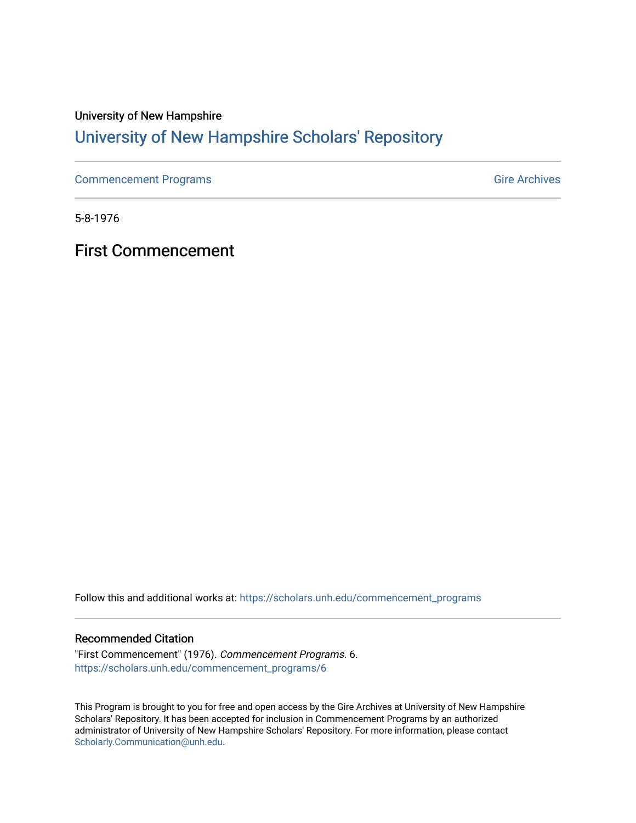# University of New Hampshire [University of New Hampshire Scholars' Repository](https://scholars.unh.edu/)

[Commencement Programs](https://scholars.unh.edu/commencement_programs) Gire Archives

5-8-1976

First Commencement

Follow this and additional works at: [https://scholars.unh.edu/commencement\\_programs](https://scholars.unh.edu/commencement_programs?utm_source=scholars.unh.edu%2Fcommencement_programs%2F6&utm_medium=PDF&utm_campaign=PDFCoverPages) 

### Recommended Citation

"First Commencement" (1976). Commencement Programs. 6. [https://scholars.unh.edu/commencement\\_programs/6](https://scholars.unh.edu/commencement_programs/6?utm_source=scholars.unh.edu%2Fcommencement_programs%2F6&utm_medium=PDF&utm_campaign=PDFCoverPages)

This Program is brought to you for free and open access by the Gire Archives at University of New Hampshire Scholars' Repository. It has been accepted for inclusion in Commencement Programs by an authorized administrator of University of New Hampshire Scholars' Repository. For more information, please contact [Scholarly.Communication@unh.edu](mailto:Scholarly.Communication@unh.edu).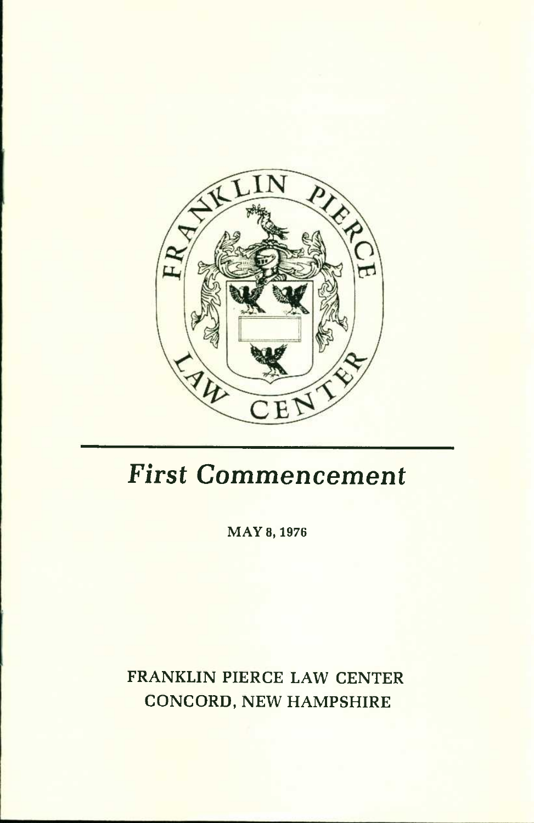

# *First Commencement*

MAY 8, 1976

FRANKLIN PIERCE LAW CENTER CONCORD, NEW HAMPSHIRE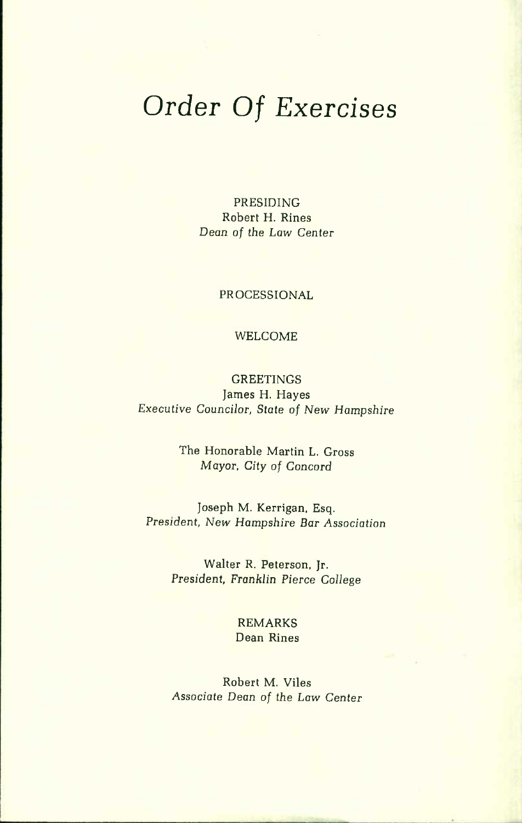# *Order Of Exercises*

PRESIDING Robert H. Rines *Dean of the Law* Center

PROCESSIONAL

#### WELCOME

### **GREETINGS** James H. Hayes Executive Councilor, *State of New Hampshire*

The Honorable Martin L. Gross *Mayor, City of* Concord

Joseph M. Kerrigan, Esq. President, New *Hampshire Bar Association* 

Walter R. Peterson, Jr. President, *Franklin Pierce College* 

> REMARKS Dean Rines

Robert M. Viles *Associate Dean of the Law Center*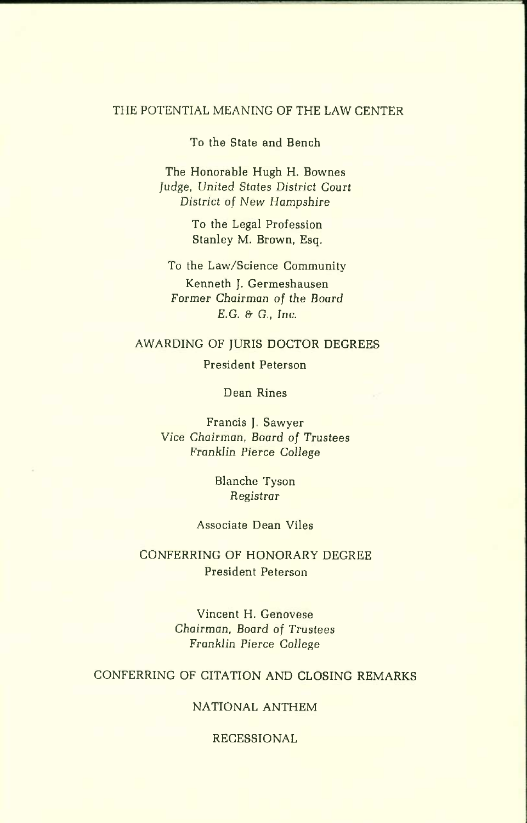#### THE POTENTIAL MEANING OF THE LAW CENTER

To the State and Bench

The Honorable Hugh H. Bownes Judge, *United States District Court District of New Hampshire* 

> To the Legal Profession Stanley M. Brown, Esq.

To the Law/Science Community Kenneth J. Germeshausen Former *Chairman of the Board E.G. &* G., *Inc.* 

#### AWARDING OF JURIS DOCTOR DEGREES

President Peterson

Dean Rines

Francis J. Sawyer Vice *Chairman, Board of Trustees Franklin Pierce College* 

> Blanche Tyson *Registrar*

#### Associate Dean Viles

### CONFERRING OF HONORARY DEGREE President Peterson

Vincent H. Genovese *Chairman, Board of* Trustees Franklin *Pierce* College

### CONFERRING OF CITATION AND CLOSING REMARKS

### NATIONAL ANTHEM

#### RECESSIONAL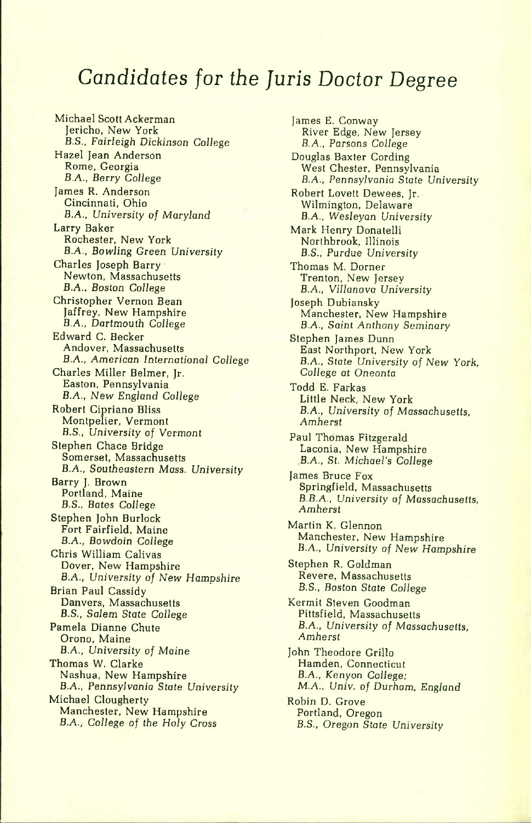# *Candidates for the Juris Doctor Degree*

Michael Scott Ackerman Jericho, New York *B.S.,* Fairleigh *Dickinson College*  Hazel Jean Anderson Rome, Georgia B.A., Berry College James R. Anderson Cincinnati, Ohio B.A., *University of* Maryland Larry Baker Rochester, New York B.A., Bowling Green *University*  Charles Joseph Barry Newton, Massachusetts B.A., *Boston* College Christopher Vernon Bean Jaffrey, New Hampshire B.A., Dartmouth College Edward C. Becker Andover, Massachusetts B.A., *American International* College Charles Miller Belmer, Jr. Easton, Pennsylvania B.A., New England College Robert Cipriano Bliss Montpelier, Vermont B.S., *University of* Vermont Stephen Chace Bridge Somerset, Massachusetts B.A., Southeastern Mass. University Barry J. Brown Portland, Maine B.S., Bates College Stephen John Burlock Fort Fairfield, Maine B.A., *Bowdoin* College Chris William Calivas Dover, New Hampshire B.A., University *of New Hampshire*  Brian Paul Cassidy Danvers, Massachusetts B.S., Salem State College Pamela Dianne Chute Orono, Maine B.A., *University of Maine*  Thomas W. Clarke Nashua, New Hampshire B.A., Pennsylvania *State University*  Michael Clougherty Manchester, New Hampshire B.A., *College of the Holy Cross* 

James E. Conway River Edge, New Jersey B.A., Parsons *College*  Douglas Baxter Cording West Chester, Pennsylvania B.A., *Pennsylvania State* University Robert Lovett Dewees, Jr. Wilmington, Delaware B.A., Wesleyan University Mark Henry Donatelli Northbrook, Illinois B.S., Purdue University Thomas M. Dorner Trenton, New Jersey B.A., *Villanova University*  Joseph Dubiansky Manchester, New Hampshire B.A., Saint *Anthony* Seminary Stephen James Dunn East Northport, New York *B.A., State University of New* York, *College at* Oneonta Todd E. Farkas Little Neck, New York B.A., University of *Massachusetts, Amherst*  Paul Thomas Fitzgerald Laconia, New Hampshire B.A., St. *Michael's College*  James Bruce Fox Springfield, Massachusetts B.B.A., *University of* Massachusetts, *Amherst*  Martin K. Glennon Manchester, New Hampshire B.A., University *of New Hampshire*  Stephen R. Goldman Revere, Massachusetts B.S., Boston *State College*  Kermit Steven Goodman Pittsfield, Massachusetts B.A., *University of* Massachusetts, *Amherst*  John Theodore Grillo Hamden, Connecticut B.A., Kenyon *College: M.A., Univ. of* Durham, England Robin D. Grove Portland, Oregon B.S., *Oregon State University*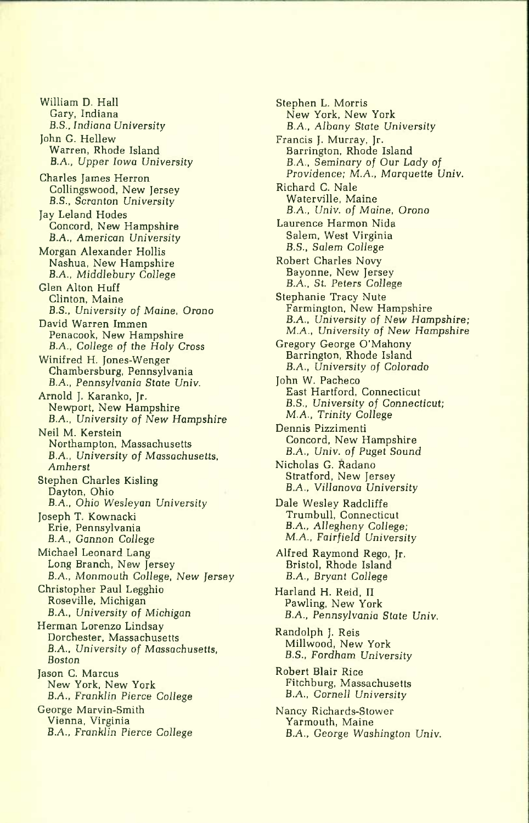William D. Hall Gary, Indiana B.S., *Indiana University*  John G. Hellew Warren, Rhode Island B.A., *Upper Iowa University*  Charles James Herron Collingswood, New Jersey B.S., Scranton *University*  Jay Leland Hodes Concord, New Hampshire B.A., American *University*  Morgan Alexander Hollis Nashua, New Hampshire *B.A.,* Middiebury College Glen Alton Huff Clinton, Maine B.S., University *of Maine,* Orono David Warren Immen Penacook, New Hampshire B.A., *College of the Holy Cross*  Winifred H. Jones-Wenger Chambersburg, Pennsylvania B.A., *Pennsylvania State Univ.*  Arnold J. Karanko, Jr. Newport, New Hampshire B.A., University of *New Hampshire*  Neil M. Kerstein Northampton, Massachusetts B.A., *University of* Massachusetts, *Amherst*  Stephen Charles Kisling Dayton, Ohio B.A., Ohio Wesleyan *University*  Joseph T. Kownacki Erie, Pennsylvania B.A., Gannon *College*  Michael Leonard Lang Long Branch, New Jersey B.A., Monmouth *College, New Jersey*  Christopher Paul Legghio Roseville, Michigan B.A., *University of Michigan*  Herman Lorenzo Lindsay Dorchester, Massachusetts B.A., University of Massachusetts, Boston Jason C. Marcus New York, New York B.A., *Franklin Pierce College*  George Marvin-Smith Vienna, Virginia B.A., *Franklin Pierce College* 

Stephen L. Morris New York, New York B.A., Albany State University Francis J. Murray, Jr. Harrington, Rhode Island B.A., *Seminary* of Our *Lady of*  Providence; M.A., *Marquette* Univ. Richard C. Nale Waterville, Maine *B.A., Univ. of Maine,* Orono Laurence Harmon Nida Salem, West Virginia B.S., Salem College Robert Charles Novy Bayonne, New Jersey B.A., St. Peters College Stephanie Tracy Nute Farmington, New Hampshire B.A., University *of New* Hampshire; M.A., University of *New Hampshire*  Gregory George O'Mahony Barrington, Rhode Island B.A., University of *Colorado*  John W. Pacheco East Hartford, Connecticut B.S., University of Connecticut; M.A., Trinity College Dennis Pizzimenti Concord, New Hampshire B.A., Univ. of Puget Sound Nicholas G. Radano Stratford, New Jersey *B.A., Villanova University*  Dale Wesley Radcliffe Trumbull, Connecticut B.A., Allegheny College; M.A., *Fairfield University*  Alfred Raymond Rego, Jr. Bristol, Rhode Island *B.A.,* Bryant College Harland H. Reid, II Pawling, New York B.A., Pennsylvania *State Univ.*  Randolph J. Reis Millwood, New York B.S., *Fordham* University Robert Blair Rice Fitchburg, Massachusetts B.A., *Cornell University*  Nancy Richards-Stower Yarmouth, Maine B.A., *George Washington Univ.*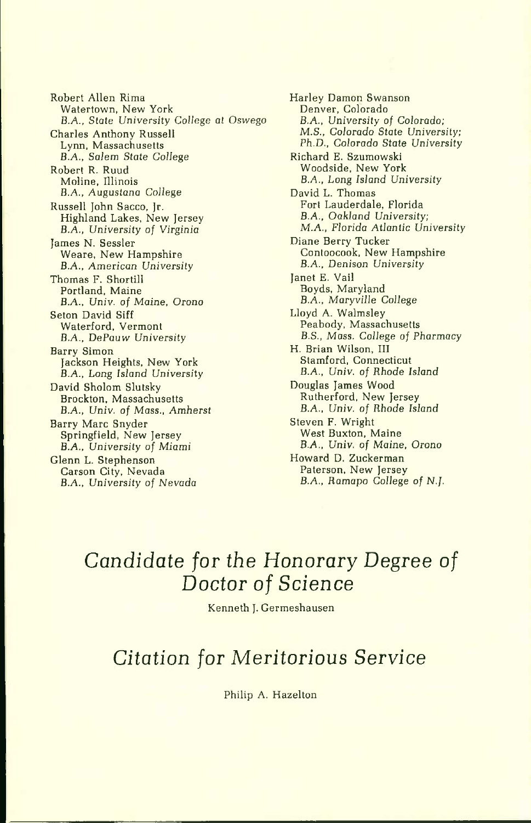Robert Allen Rima Watertown, New York B.A., State University College *at* Oswego Charles Anthony Russell Lynn, Massachusetts B.A,, Salem *State College*  Robert R. Ruud Molina, Illinois *B.A,,* Auguslana *College*  Russell John Sacco, Jr. Highland Lakes, New Jersey B.A., *University of Virginia*  James N. Sessler Weare, New Hampshire B.A., American *University*  Thomas F. Shortill Portland, Maine B.A., Univ. of *Maine, Orono*  Seton David Siff Waterford, Vermont B.A., DePauw University Barry Simon Jackson Heights, New York B.A., Long *Island* University David Sholom Slutsky Brockton, Massachusetts B.A., Univ. *of* Mass., *Amherst*  Barry Marc Snyder Springfield, New Jersey B.A., *University of* Miami Glenn L. Stephenson Carson City, Nevada B.A., *University of Nevada* 

Harley Damon Swanson Denver, Colorado B.A., *University of Colorado; M.S., Colorado State* University; *Ph.D., Colorado* State *University*  Richard E. Szumowski Woodside, New York B.A., Long Island University David L. Thomas Fort Lauderdale, Florida B.A., *Oakland* University; *M.A., Florida* Atlantic University Diane Berry Tucker Contoocook, New Hampshire B.A., Denison *University*  Janet E. Vail Boyds, Maryland B.A., *Maryville College*  Lloyd A. Walmsley Peabody, Massachusetts B.S., Mass. *College of Pharmacy*  H. Brian Wilson, III Stamford, Connecticut B.A., *Univ. of Rhode Island*  Douglas James Wood Rutherford, New Jersey B.A., *Univ. of Rhode Island*  Steven F. Wright West Buxton, Maine B.A., Univ. of *Maine,* Orono Howard D. Zuckerman Paterson, New Jersey B.A., Ramapo College of *N .f.* 

## *Candidate for the Honorary Degree of Doctor of Science*

Kenneth J. Germeshausen

### *Citation for Meritorious Service*

Philip A. Hazelton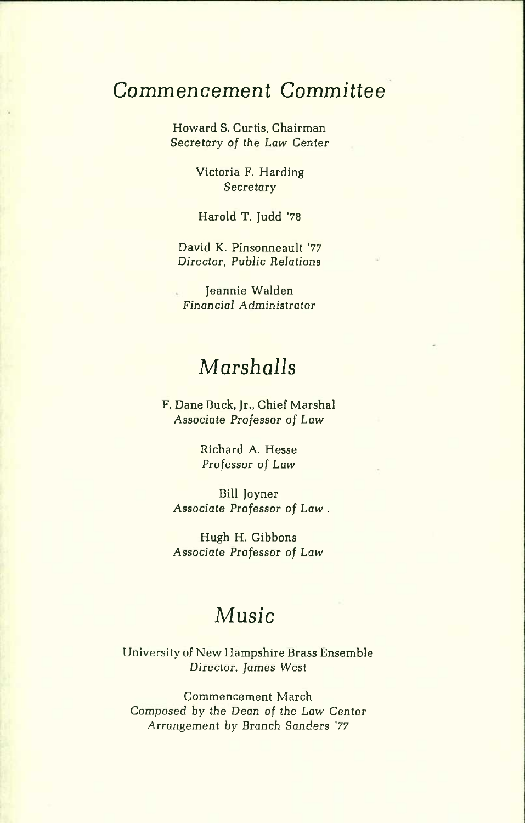### *Commencement Committee*

Howard S. Curtis, Chairman *Secretary of the Law Center* 

> Victoria F. Harding *Secretary*

Harold T. Judd '78

David K. Pinsonneault '77 *Director, Public Relations* 

Jeannie Walden *Financial Administrator* 

## *Marshalls*

F. Dane Buck, Jr., Chief Marshal Associate *Professor of Law* 

> Richard A. Hesse *Professor of Law*

Bill Joyner *Associate* Professor *of Law .* 

Hugh H. Gibbons *Associate* Professor *of Law* 

# *Music*

University of New Hampshire Brass Ensemble *Director, James West* 

Commencement March *Composed by the Dean of the Law* Center Arrangement by *Branch* Sanders *'77*